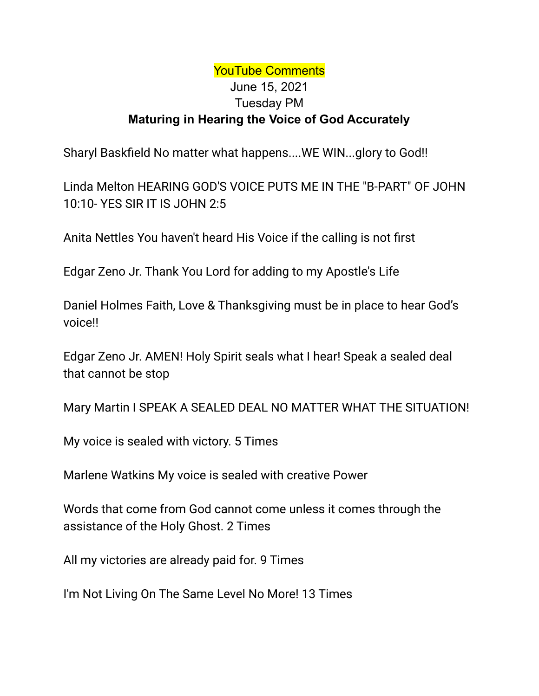## YouTube Comments June 15, 2021 Tuesday PM **Maturing in Hearing the Voice of God Accurately**

Sharyl Baskfield No matter what happens....WE WIN...glory to God!!

Linda Melton HEARING GOD'S VOICE PUTS ME IN THE "B-PART" OF JOHN 10:10- YES SIR IT IS JOHN 2:5

Anita Nettles You haven't heard His Voice if the calling is not first

Edgar Zeno Jr. Thank You Lord for adding to my Apostle's Life

Daniel Holmes Faith, Love & Thanksgiving must be in place to hear God's voice!!

Edgar Zeno Jr. AMEN! Holy Spirit seals what I hear! Speak a sealed deal that cannot be stop

Mary Martin I SPEAK A SEALED DEAL NO MATTER WHAT THE SITUATION!

My voice is sealed with victory. 5 Times

Marlene Watkins My voice is sealed with creative Power

Words that come from God cannot come unless it comes through the assistance of the Holy Ghost. 2 Times

All my victories are already paid for. 9 Times

I'm Not Living On The Same Level No More! 13 Times